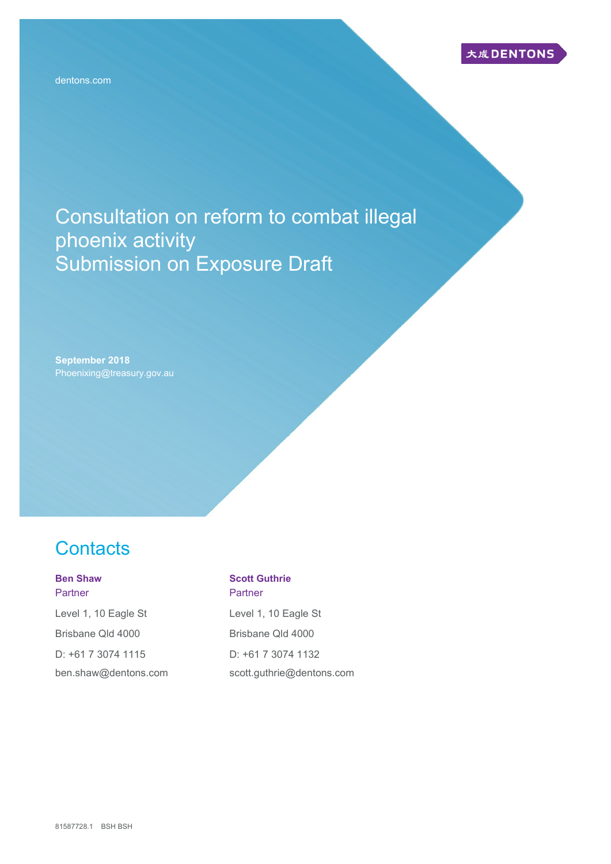Consultation on reform to combat illegal phoenix activity Submission on Exposure Draft

**September 2018** Phoenixing@treasury.gov.au

# **Contacts**

### **Ben Shaw Partner**

Level 1, 10 Eagle St Brisbane Qld 4000 D: +61 7 3074 1115 ben.shaw@dentons.com

#### **Scott Guthrie Partner**

Level 1, 10 Eagle St Brisbane Qld 4000 D: +61 7 3074 1132 scott.guthrie@dentons.com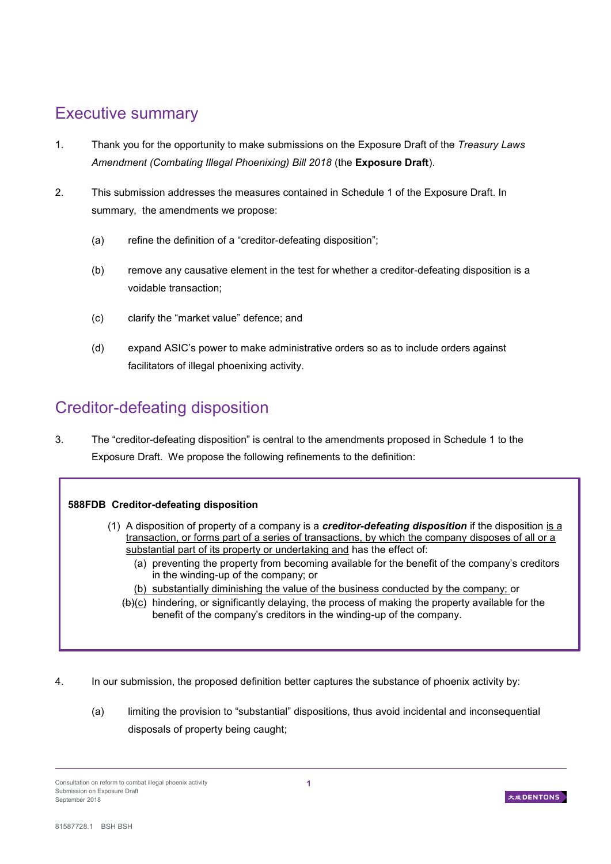# Executive summary

- 1. Thank you for the opportunity to make submissions on the Exposure Draft of the *Treasury Laws Amendment (Combating Illegal Phoenixing) Bill 2018* (the **Exposure Draft**).
- 2. This submission addresses the measures contained in Schedule 1 of the Exposure Draft. In summary, the amendments we propose:
	- (a) refine the definition of a "creditor-defeating disposition";
	- (b) remove any causative element in the test for whether a creditor-defeating disposition is a voidable transaction;
	- (c) clarify the "market value" defence; and
	- (d) expand ASIC's power to make administrative orders so as to include orders against facilitators of illegal phoenixing activity.

### Creditor-defeating disposition

3. The "creditor-defeating disposition" is central to the amendments proposed in Schedule 1 to the Exposure Draft. We propose the following refinements to the definition:

### **588FDB Creditor-defeating disposition**

- (1) A disposition of property of a company is a *creditor-defeating disposition* if the disposition is a transaction, or forms part of a series of transactions, by which the company disposes of all or a substantial part of its property or undertaking and has the effect of:
	- (a) preventing the property from becoming available for the benefit of the company's creditors in the winding-up of the company; or
	- (b) substantially diminishing the value of the business conducted by the company; or
	- (b)(c) hindering, or significantly delaying, the process of making the property available for the benefit of the company's creditors in the winding-up of the company.
- 4. In our submission, the proposed definition better captures the substance of phoenix activity by:
	- (a) limiting the provision to "substantial" dispositions, thus avoid incidental and inconsequential disposals of property being caught;



Consultation on reform to combat illegal phoenix activity Submission on Exposure Draft September 2018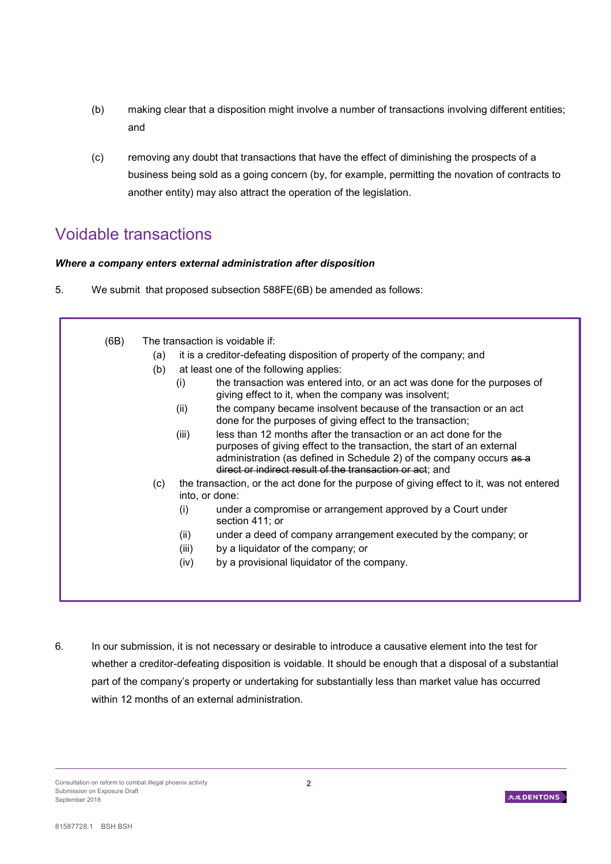- (b) making clear that a disposition might involve a number of transactions involving different entities; and
- (c) removing any doubt that transactions that have the effect of diminishing the prospects of a business being sold as a going concern (by, for example, permitting the novation of contracts to another entity) may also attract the operation of the legislation.

### Voidable transactions

### *Where a company enters external administration after disposition*

5. We submit that proposed subsection 588FE(6B) be amended as follows:

| (6B) |     | The transaction is voidable if:                                                                                                                                                                                                                                                         |
|------|-----|-----------------------------------------------------------------------------------------------------------------------------------------------------------------------------------------------------------------------------------------------------------------------------------------|
|      |     |                                                                                                                                                                                                                                                                                         |
|      | (a) | it is a creditor-defeating disposition of property of the company; and                                                                                                                                                                                                                  |
|      | (b) | at least one of the following applies:                                                                                                                                                                                                                                                  |
|      |     | the transaction was entered into, or an act was done for the purposes of<br>(i)<br>giving effect to it, when the company was insolvent;                                                                                                                                                 |
|      |     | the company became insolvent because of the transaction or an act<br>(ii)<br>done for the purposes of giving effect to the transaction;                                                                                                                                                 |
|      |     | less than 12 months after the transaction or an act done for the<br>(iii)<br>purposes of giving effect to the transaction, the start of an external<br>administration (as defined in Schedule 2) of the company occurs as a<br>direct or indirect result of the transaction or act; and |
|      | (c) | the transaction, or the act done for the purpose of giving effect to it, was not entered<br>into, or done:                                                                                                                                                                              |
|      |     | under a compromise or arrangement approved by a Court under<br>(i)<br>section 411; or                                                                                                                                                                                                   |
|      |     | under a deed of company arrangement executed by the company; or<br>(ii)                                                                                                                                                                                                                 |
|      |     | by a liquidator of the company; or<br>(iii)                                                                                                                                                                                                                                             |
|      |     | by a provisional liquidator of the company.<br>(iv)                                                                                                                                                                                                                                     |
|      |     |                                                                                                                                                                                                                                                                                         |

6. In our submission, it is not necessary or desirable to introduce a causative element into the test for whether a creditor-defeating disposition is voidable. It should be enough that a disposal of a substantial part of the company's property or undertaking for substantially less than market value has occurred within 12 months of an external administration.

Consultation on reform to combat illegal phoenix activity Submission on Exposure Draft September 2018

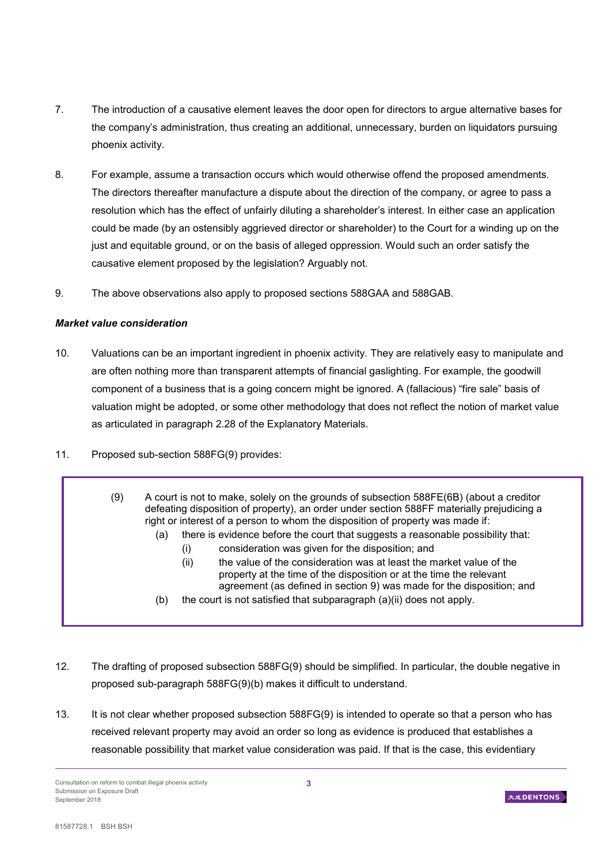- 7. The introduction of a causative element leaves the door open for directors to argue alternative bases for the company's administration, thus creating an additional, unnecessary, burden on liquidators pursuing phoenix activity.
- 8. For example, assume a transaction occurs which would otherwise offend the proposed amendments. The directors thereafter manufacture a dispute about the direction of the company, or agree to pass a resolution which has the effect of unfairly diluting a shareholder's interest. In either case an application could be made (by an ostensibly aggrieved director or shareholder) to the Court for a winding up on the just and equitable ground, or on the basis of alleged oppression. Would such an order satisfy the causative element proposed by the legislation? Arguably not.
- 9. The above observations also apply to proposed sections 588GAA and 588GAB.

### *Market value consideration*

- 10. Valuations can be an important ingredient in phoenix activity. They are relatively easy to manipulate and are often nothing more than transparent attempts of financial gaslighting. For example, the goodwill component of a business that is a going concern might be ignored. A (fallacious) "fire sale" basis of valuation might be adopted, or some other methodology that does not reflect the notion of market value as articulated in paragraph 2.28 of the Explanatory Materials.
- 11. Proposed sub-section 588FG(9) provides:
	- (9) A court is not to make, solely on the grounds of subsection 588FE(6B) (about a creditor defeating disposition of property), an order under section 588FF materially prejudicing a right or interest of a person to whom the disposition of property was made if:
		- (a) there is evidence before the court that suggests a reasonable possibility that:
			- (i) consideration was given for the disposition; and
			- (ii) the value of the consideration was at least the market value of the property at the time of the disposition or at the time the relevant agreement (as defined in section 9) was made for the disposition; and
		- (b) the court is not satisfied that subparagraph (a)(ii) does not apply.
- 12. The drafting of proposed subsection 588FG(9) should be simplified. In particular, the double negative in proposed sub-paragraph 588FG(9)(b) makes it difficult to understand.
- 13. It is not clear whether proposed subsection 588FG(9) is intended to operate so that a person who has received relevant property may avoid an order so long as evidence is produced that establishes a reasonable possibility that market value consideration was paid. If that is the case, this evidentiary

Consultation on reform to combat illegal phoenix activity Submission on Exposure Draft September 2018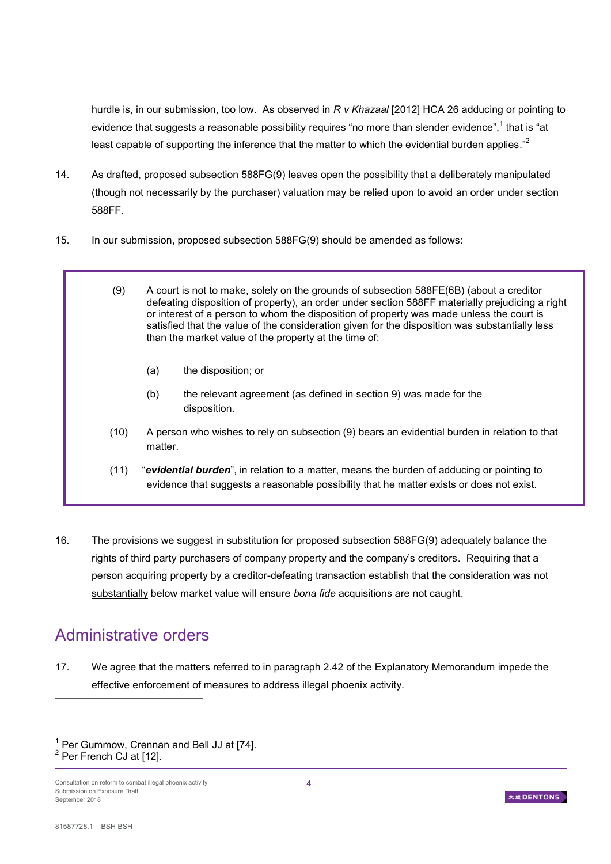hurdle is, in our submission, too low. As observed in *R v Khazaal* [2012] HCA 26 adducing or pointing to evidence that suggests a reasonable possibility requires "no more than slender evidence",<sup>1</sup> that is "at least capable of supporting the inference that the matter to which the evidential burden applies."<sup>2</sup>

- 14. As drafted, proposed subsection 588FG(9) leaves open the possibility that a deliberately manipulated (though not necessarily by the purchaser) valuation may be relied upon to avoid an order under section 588FF.
- 15. In our submission, proposed subsection 588FG(9) should be amended as follows:
	- (9) A court is not to make, solely on the grounds of subsection 588FE(6B) (about a creditor defeating disposition of property), an order under section 588FF materially prejudicing a right or interest of a person to whom the disposition of property was made unless the court is satisfied that the value of the consideration given for the disposition was substantially less than the market value of the property at the time of:
		- (a) the disposition; or
		- (b) the relevant agreement (as defined in section 9) was made for the disposition.
	- (10) A person who wishes to rely on subsection (9) bears an evidential burden in relation to that matter.
	- (11) "*evidential burden*", in relation to a matter, means the burden of adducing or pointing to evidence that suggests a reasonable possibility that he matter exists or does not exist.
- 16. The provisions we suggest in substitution for proposed subsection 588FG(9) adequately balance the rights of third party purchasers of company property and the company's creditors. Requiring that a person acquiring property by a creditor-defeating transaction establish that the consideration was not substantially below market value will ensure *bona fide* acquisitions are not caught.

## Administrative orders

17. We agree that the matters referred to in paragraph 2.42 of the Explanatory Memorandum impede the effective enforcement of measures to address illegal phoenix activity.

 $\overline{a}$ 



 $1$  Per Gummow, Crennan and Bell JJ at [74].  $2$  Per French CJ at [12].

Consultation on reform to combat illegal phoenix activity Submission on Exposure Draft September 2018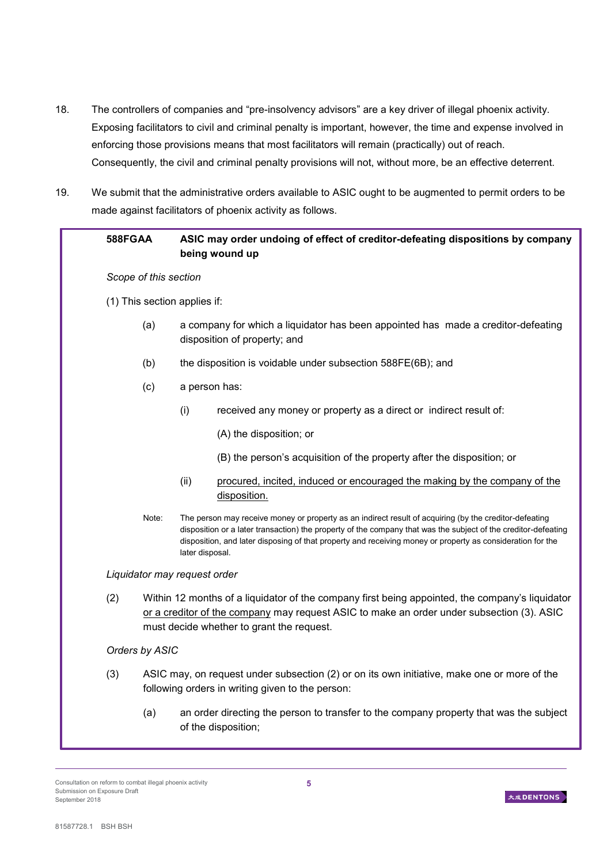- 18. The controllers of companies and "pre-insolvency advisors" are a key driver of illegal phoenix activity. Exposing facilitators to civil and criminal penalty is important, however, the time and expense involved in enforcing those provisions means that most facilitators will remain (practically) out of reach. Consequently, the civil and criminal penalty provisions will not, without more, be an effective deterrent.
- 19. We submit that the administrative orders available to ASIC ought to be augmented to permit orders to be made against facilitators of phoenix activity as follows.

| 588FGAA                                                                                                                                                |                                                                                                                                                                                                                                           |                                                                                                                   | ASIC may order undoing of effect of creditor-defeating dispositions by company<br>being wound up                                                                                                                                                                                                                                       |  |  |
|--------------------------------------------------------------------------------------------------------------------------------------------------------|-------------------------------------------------------------------------------------------------------------------------------------------------------------------------------------------------------------------------------------------|-------------------------------------------------------------------------------------------------------------------|----------------------------------------------------------------------------------------------------------------------------------------------------------------------------------------------------------------------------------------------------------------------------------------------------------------------------------------|--|--|
|                                                                                                                                                        | Scope of this section                                                                                                                                                                                                                     |                                                                                                                   |                                                                                                                                                                                                                                                                                                                                        |  |  |
| (1) This section applies if:                                                                                                                           |                                                                                                                                                                                                                                           |                                                                                                                   |                                                                                                                                                                                                                                                                                                                                        |  |  |
|                                                                                                                                                        | (a)                                                                                                                                                                                                                                       | a company for which a liquidator has been appointed has made a creditor-defeating<br>disposition of property; and |                                                                                                                                                                                                                                                                                                                                        |  |  |
|                                                                                                                                                        | (b)                                                                                                                                                                                                                                       | the disposition is voidable under subsection 588FE(6B); and                                                       |                                                                                                                                                                                                                                                                                                                                        |  |  |
|                                                                                                                                                        | (c)                                                                                                                                                                                                                                       | a person has:                                                                                                     |                                                                                                                                                                                                                                                                                                                                        |  |  |
|                                                                                                                                                        |                                                                                                                                                                                                                                           | (i)                                                                                                               | received any money or property as a direct or indirect result of:                                                                                                                                                                                                                                                                      |  |  |
|                                                                                                                                                        |                                                                                                                                                                                                                                           |                                                                                                                   | (A) the disposition; or                                                                                                                                                                                                                                                                                                                |  |  |
|                                                                                                                                                        |                                                                                                                                                                                                                                           |                                                                                                                   | (B) the person's acquisition of the property after the disposition; or                                                                                                                                                                                                                                                                 |  |  |
|                                                                                                                                                        |                                                                                                                                                                                                                                           | (ii)                                                                                                              | procured, incited, induced or encouraged the making by the company of the<br>disposition.                                                                                                                                                                                                                                              |  |  |
|                                                                                                                                                        | Note:                                                                                                                                                                                                                                     | later disposal.                                                                                                   | The person may receive money or property as an indirect result of acquiring (by the creditor-defeating<br>disposition or a later transaction) the property of the company that was the subject of the creditor-defeating<br>disposition, and later disposing of that property and receiving money or property as consideration for the |  |  |
| Liquidator may request order                                                                                                                           |                                                                                                                                                                                                                                           |                                                                                                                   |                                                                                                                                                                                                                                                                                                                                        |  |  |
| (2)                                                                                                                                                    | Within 12 months of a liquidator of the company first being appointed, the company's liquidator<br>or a creditor of the company may request ASIC to make an order under subsection (3). ASIC<br>must decide whether to grant the request. |                                                                                                                   |                                                                                                                                                                                                                                                                                                                                        |  |  |
|                                                                                                                                                        | Orders by ASIC                                                                                                                                                                                                                            |                                                                                                                   |                                                                                                                                                                                                                                                                                                                                        |  |  |
| (3)<br>ASIC may, on request under subsection (2) or on its own initiative, make one or more of the<br>following orders in writing given to the person: |                                                                                                                                                                                                                                           |                                                                                                                   |                                                                                                                                                                                                                                                                                                                                        |  |  |
|                                                                                                                                                        | (a)                                                                                                                                                                                                                                       |                                                                                                                   | an order directing the person to transfer to the company property that was the subject<br>of the disposition;                                                                                                                                                                                                                          |  |  |

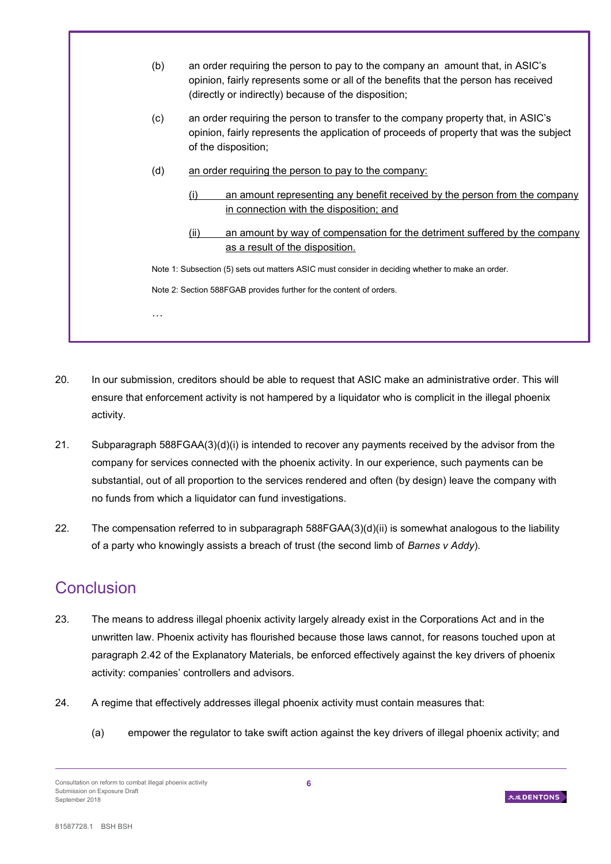| (b) | an order requiring the person to pay to the company an amount that, in ASIC's<br>opinion, fairly represents some or all of the benefits that the person has received<br>(directly or indirectly) because of the disposition; |  |  |
|-----|------------------------------------------------------------------------------------------------------------------------------------------------------------------------------------------------------------------------------|--|--|
| (c) | an order requiring the person to transfer to the company property that, in ASIC's<br>opinion, fairly represents the application of proceeds of property that was the subject<br>of the disposition;                          |  |  |
| (d) | an order requiring the person to pay to the company:                                                                                                                                                                         |  |  |
|     | an amount representing any benefit received by the person from the company<br>(i)<br>in connection with the disposition; and                                                                                                 |  |  |
|     | an amount by way of compensation for the detriment suffered by the company<br>(ii)<br>as a result of the disposition.                                                                                                        |  |  |
|     | Note 1: Subsection (5) sets out matters ASIC must consider in deciding whether to make an order.<br>Note 2: Section 588FGAB provides further for the content of orders.                                                      |  |  |
|     |                                                                                                                                                                                                                              |  |  |
| .   |                                                                                                                                                                                                                              |  |  |
|     |                                                                                                                                                                                                                              |  |  |

- 20. In our submission, creditors should be able to request that ASIC make an administrative order. This will ensure that enforcement activity is not hampered by a liquidator who is complicit in the illegal phoenix activity.
- 21. Subparagraph 588FGAA(3)(d)(i) is intended to recover any payments received by the advisor from the company for services connected with the phoenix activity. In our experience, such payments can be substantial, out of all proportion to the services rendered and often (by design) leave the company with no funds from which a liquidator can fund investigations.
- 22. The compensation referred to in subparagraph 588FGAA(3)(d)(ii) is somewhat analogous to the liability of a party who knowingly assists a breach of trust (the second limb of *Barnes v Addy*).

## **Conclusion**

- 23. The means to address illegal phoenix activity largely already exist in the Corporations Act and in the unwritten law. Phoenix activity has flourished because those laws cannot, for reasons touched upon at paragraph 2.42 of the Explanatory Materials, be enforced effectively against the key drivers of phoenix activity: companies' controllers and advisors.
- 24. A regime that effectively addresses illegal phoenix activity must contain measures that:
	- (a) empower the regulator to take swift action against the key drivers of illegal phoenix activity; and

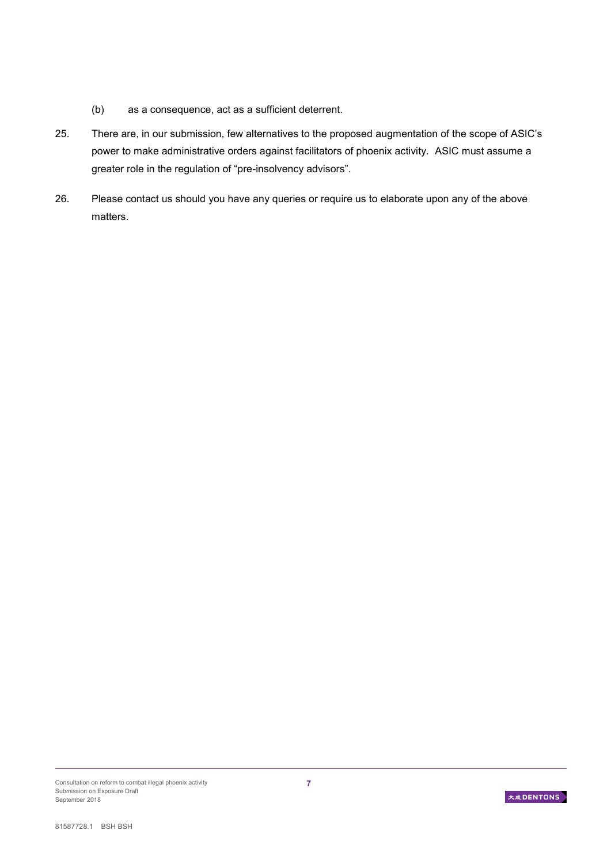- (b) as a consequence, act as a sufficient deterrent.
- 25. There are, in our submission, few alternatives to the proposed augmentation of the scope of ASIC's power to make administrative orders against facilitators of phoenix activity. ASIC must assume a greater role in the regulation of "pre-insolvency advisors".
- 26. Please contact us should you have any queries or require us to elaborate upon any of the above matters.